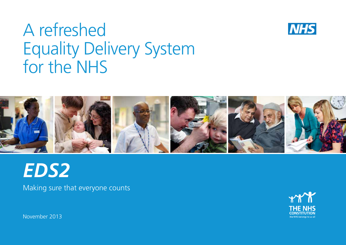# A refreshed Equality Delivery System for the NHS





# *EDS2*

Making sure that everyone counts



November 2013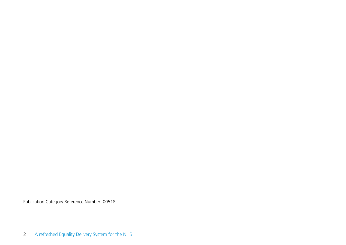Publication Category Reference Number: 00518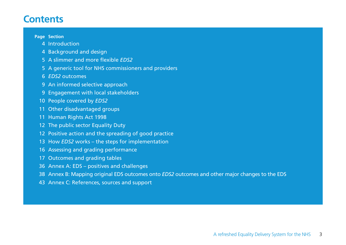### **Contents**

#### **Page Section**

- Introduction
- Background and design
- A slimmer and more flexible *EDS2*
- A generic tool for NHS commissioners and providers
- *EDS2* outcomes
- An informed selective approach
- Engagement with local stakeholders
- People covered by *EDS2*
- Other disadvantaged groups
- Human Rights Act 1998
- 12 The public sector Equality Duty
- Positive action and the spreading of good practice
- How *EDS2* works the steps for implementation
- Assessing and grading performance
- Outcomes and grading tables
- Annex A: EDS positives and challenges
- Annex B: Mapping original EDS outcomes onto *EDS2* outcomes and other major changes to the EDS
- Annex C: References, sources and support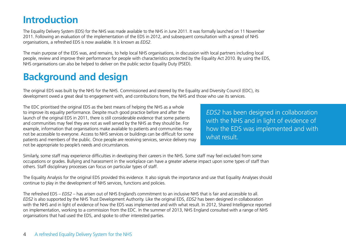## **Introduction**

The Equality Delivery System (EDS) for the NHS was made available to the NHS in June 2011. It was formally launched on 11 November 2011. Following an evaluation of the implementation of the EDS in 2012, and subsequent consultation with a spread of NHS organisations, a refreshed EDS is now available. It is known as *EDS2*.

The main purpose of the EDS was, and remains, to help local NHS organisations, in discussion with local partners including local people, review and improve their performance for people with characteristics protected by the Equality Act 2010. By using the EDS, NHS organisations can also be helped to deliver on the public sector Equality Duty (PSED).

### **Background and design**

The original EDS was built by the NHS for the NHS. Commissioned and steered by the Equality and Diversity Council (EDC), its development owed a great deal to engagement with, and contributions from, the NHS and those who use its services.

The EDC prioritised the original EDS as the best means of helping the NHS as a whole to improve its equality performance. Despite much good practice before and after the launch of the original EDS in 2011, there is still considerable evidence that some patients and communities may feel they are not as well served by the NHS as they should be. For example, information that organisations make available to patients and communities may not be accessible to everyone. Access to NHS services or buildings can be difficult for some patients and members of the public. Once people are receiving services, service delivery may not be appropriate to people's needs and circumstances.

*EDS2* has been designed in collaboration with the NHS and in light of evidence of how the EDS was implemented and with what result.

Similarly, some staff may experience difficulties in developing their careers in the NHS. Some staff may feel excluded from some occupations or grades. Bullying and harassment in the workplace can have a greater adverse impact upon some types of staff than others. Staff disciplinary processes can focus on particular types of staff.

The Equality Analysis for the original EDS provided this evidence. It also signals the importance and use that Equality Analyses should continue to play in the development of NHS services, functions and policies.

The refreshed EDS – *EDS2* – has arisen out of NHS England's commitment to an inclusive NHS that is fair and accessible to all. *EDS2* is also supported by the NHS Trust Development Authority. Like the original EDS, *EDS2* has been designed in collaboration with the NHS and in light of evidence of how the EDS was implemented and with what result. In 2012, Shared Intelligence reported on implementation, working to a commission from the EDC. In the summer of 2013, NHS England consulted with a range of NHS organisations that had used the EDS, and spoke to other interested parties.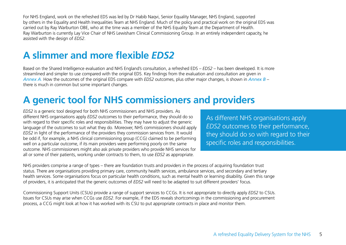For NHS England, work on the refreshed EDS was led by Dr Habib Naqvi, Senior Equality Manager, NHS England, supported by others in the Equality and Health Inequalities Team at NHS England. Much of the policy and practical work on the original EDS was carried out by Ray Warburton OBE, who at the time was a member of the NHS Equality Team at the Department of Health. Ray Warburton is currently Lay Vice Chair of NHS Lewisham Clinical Commissioning Group. In an entirely independent capacity, he assisted with the design of *EDS2*.

## **A slimmer and more flexible** *EDS2*

Based on the Shared Intelligence evaluation and NHS England's consultation, a refreshed EDS – *EDS2* – has been developed. It is more streamlined and simpler to use compared with the original EDS. Key findings from the evaluation and consultation are given in *Annex A*. How the outcomes of the original EDS compare with *EDS2* outcomes, plus other major changes, is shown in *Annex B* – there is much in common but some important changes.

## **A generic tool for NHS commissioners and providers**

*EDS2* is a generic tool designed for both NHS commissioners and NHS providers. As different NHS organisations apply *EDS2* outcomes to their performance, they should do so with regard to their specific roles and responsibilities. They may have to adjust the generic language of the outcomes to suit what they do. Moreover, NHS commissioners should apply *EDS2* in light of the performance of the providers they commission services from. It would be odd if, for example, a NHS clinical commissioning group (CCG) claimed to be performing well on a particular outcome, if its main providers were performing poorly on the same outcome. NHS commissioners might also ask private providers who provide NHS services for all or some of their patients, working under contracts to them, to use *EDS2* as appropriate.

As different NHS organisations apply *EDS2* outcomes to their performance, they should do so with regard to their specific roles and responsibilities.

NHS providers comprise a range of types – there are foundation trusts and providers in the process of acquiring foundation trust status. There are organisations providing primary care, community health services, ambulance services, and secondary and tertiary health services. Some organisations focus on particular health conditions, such as mental health or learning disability. Given this range of providers, it is anticipated that the generic outcomes of *EDS2* will need to be adapted to suit different providers' focus.

Commissioning Support Units (CSUs) provide a range of support services to CCGs. It is not appropriate to directly apply *EDS2* to CSUs. Issues for CSUs may arise when CCGs use *EDS2*. For example, if the EDS reveals shortcomings in the commissioning and procurement process, a CCG might look at how it has worked with its CSU to put appropriate contracts in place and monitor them.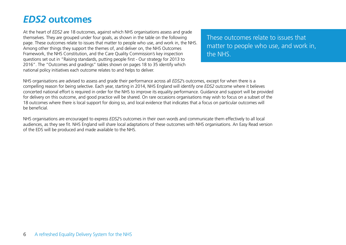### *EDS2* **outcomes**

At the heart of *EDS2* are 18 outcomes, against which NHS organisations assess and grade themselves. They are grouped under four goals, as shown in the table on the following page. These outcomes relate to issues that matter to people who use, and work in, the NHS. Among other things they support the themes of, and deliver on, the NHS Outcomes Framework, the NHS Constitution, and the Care Quality Commission's key inspection questions set out in "Raising standards, putting people first - Our strategy for 2013 to 2016". The "Outcomes and gradings" tables shown on pages 18 to 35 identify which national policy initiatives each outcome relates to and helps to deliver.

These outcomes relate to issues that matter to people who use, and work in, the NHS.

NHS organisations are advised to assess and grade their performance across all *EDS2*'s outcomes, except for when there is a compelling reason for being selective. Each year, starting in 2014, NHS England will identify one *EDS2* outcome where it believes concerted national effort is required in order for the NHS to improve its equality performance. Guidance and support will be provided for delivery on this outcome, and good practice will be shared. On rare occasions organisations may wish to focus on a subset of the 18 outcomes where there is local support for doing so, and local evidence that indicates that a focus on particular outcomes will be beneficial.

NHS organisations are encouraged to express *EDS2*'s outcomes in their own words and communicate them effectively to all local audiences, as they see fit. NHS England will share local adaptations of these outcomes with NHS organisations. An Easy Read version of the EDS will be produced and made available to the NHS.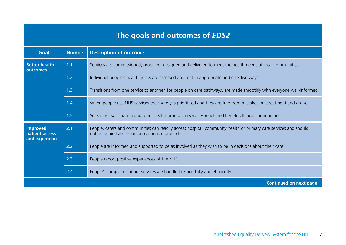### **The goals and outcomes of** *EDS2*

| Goal                                                | Number | <b>Description of outcome</b>                                                                                                                                    |
|-----------------------------------------------------|--------|------------------------------------------------------------------------------------------------------------------------------------------------------------------|
| <b>Better health</b><br>outcomes                    | 1.1    | Services are commissioned, procured, designed and delivered to meet the health needs of local communities                                                        |
|                                                     | 1.2    | Individual people's health needs are assessed and met in appropriate and effective ways                                                                          |
|                                                     | 1.3    | Transitions from one service to another, for people on care pathways, are made smoothly with everyone well-informed                                              |
|                                                     | 1.4    | When people use NHS services their safety is prioritised and they are free from mistakes, mistreatment and abuse                                                 |
|                                                     | 1.5    | Screening, vaccination and other health promotion services reach and benefit all local communities                                                               |
| <b>Improved</b><br>patient access<br>and experience | 2.1    | People, carers and communities can readily access hospital, community health or primary care services and should<br>not be denied access on unreasonable grounds |
|                                                     | 2.2    | People are informed and supported to be as involved as they wish to be in decisions about their care                                                             |
|                                                     | 2.3    | People report positive experiences of the NHS                                                                                                                    |
|                                                     | 2.4    | People's complaints about services are handled respectfully and efficiently                                                                                      |
|                                                     |        | <b>Continued on next page</b>                                                                                                                                    |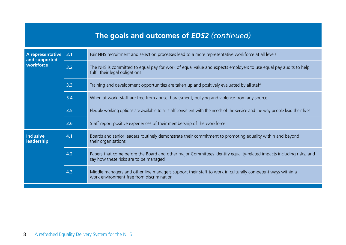|                                   |     | The goals and outcomes of EDS2 (continued)                                                                                                                   |
|-----------------------------------|-----|--------------------------------------------------------------------------------------------------------------------------------------------------------------|
| A representative<br>and supported | 3.1 | Fair NHS recruitment and selection processes lead to a more representative workforce at all levels                                                           |
| workforce                         | 3.2 | The NHS is committed to equal pay for work of equal value and expects employers to use equal pay audits to help<br>fulfil their legal obligations            |
|                                   | 3.3 | Training and development opportunities are taken up and positively evaluated by all staff                                                                    |
|                                   | 3.4 | When at work, staff are free from abuse, harassment, bullying and violence from any source                                                                   |
|                                   | 3.5 | Flexible working options are available to all staff consistent with the needs of the service and the way people lead their lives                             |
|                                   | 3.6 | Staff report positive experiences of their membership of the workforce                                                                                       |
| <b>Inclusive</b><br>leadership    | 4.1 | Boards and senior leaders routinely demonstrate their commitment to promoting equality within and beyond<br>their organisations                              |
|                                   | 4.2 | Papers that come before the Board and other major Committees identify equality-related impacts including risks, and<br>say how these risks are to be managed |
|                                   | 4.3 | Middle managers and other line managers support their staff to work in culturally competent ways within a<br>work environment free from discrimination       |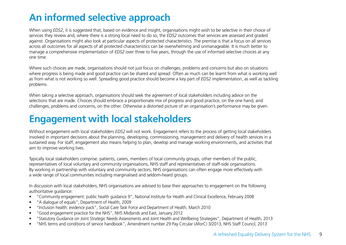## **An informed selective approach**

When using *EDS2*, it is suggested that, based on evidence and insight, organisations might wish to be selective in their choice of services they review and, where there is a strong local need to do so, the *EDS2* outcomes that services are assessed and graded against. Organisations might also look at particular aspects of protected characteristics. The premise is that a focus on all services across all outcomes for all aspects of all protected characteristics can be overwhelming and unmanageable. It is much better to manage a comprehensive implementation of *EDS2* over three to five years, through the use of informed selective choices at any one time.

Where such choices are made, organisations should not just focus on challenges, problems and concerns but also on situations where progress is being made and good practice can be shared and spread. Often as much can be learnt from what is working well as from what is not working so well. Spreading good practice should become a key part of *EDS2* implementation, as well as tackling problems.

When taking a selective approach, organisations should seek the agreement of local stakeholders including advice on the selections that are made. Choices should embrace a proportionate mix of progress and good practice, on the one hand, and challenges, problems and concerns, on the other. Otherwise a distorted picture of an organisation's performance may be given.

## **Engagement with local stakeholders**

Without engagement with local stakeholders *EDS2* will not work. Engagement refers to the process of getting local stakeholders involved in important decisions about the planning, developing, commissioning, management and delivery of health services in a sustained way. For staff, engagement also means helping to plan, develop and manage working environments, and activities that aim to improve working lives.

Typically local stakeholders comprise: patients, carers, members of local community groups, other members of the public, representatives of local voluntary and community organisations, NHS staff and representatives of staff-side organisations. By working in partnership with voluntary and community sectors, NHS organisations can often engage more effectively with a wide range of local communities including marginalised and seldom-heard groups.

In discussion with local stakeholders, NHS organisations are advised to base their approaches to engagement on the following authoritative guidance:

- "Community engagement: public health guidance 9", National Institute for Health and Clinical Excellence, February 2008
- "A dialogue of equals", Department of Health, 2009
- "Inclusion health: evidence pack", Social Care Task Force and Department of Health, March 2010
- "Good engagement practice for the NHS", NHS Midlands and East, January 2012
- "Statutory Guidance on Joint Strategic Needs Assessments and Joint Health and Wellbeing Strategies", Department of Health, 2013
- "NHS terms and conditions of service handbook", Amendment number 29 Pay Circular (AforC) 3/2013, NHS Staff Council, 2013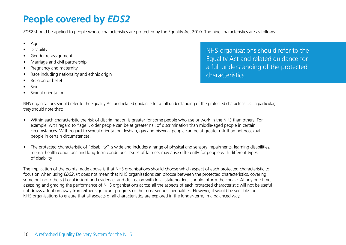## **People covered by** *EDS2*

*EDS2* should be applied to people whose characteristics are protected by the Equality Act 2010. The nine characteristics are as follows:

- Age
- **Disability**
- Gender re-assignment
- Marriage and civil partnership
- Pregnancy and maternity
- Race including nationality and ethnic origin
- Religion or belief
- Sex
- Sexual orientation

NHS organisations should refer to the Equality Act and related guidance for a full understanding of the protected characteristics.

NHS organisations should refer to the Equality Act and related guidance for a full understanding of the protected characteristics. In particular, they should note that:

- Within each characteristic the risk of discrimination is greater for some people who use or work in the NHS than others. For example, with regard to "age", older people can be at greater risk of discrimination than middle-aged people in certain circumstances. With regard to sexual orientation, lesbian, gay and bisexual people can be at greater risk than heterosexual people in certain circumstances.
- The protected characteristic of "disability" is wide and includes a range of physical and sensory impairments, learning disabilities, mental health conditions and long-term conditions. Issues of fairness may arise differently for people with different types of disability.

The implication of the points made above is that NHS organisations should choose which aspect of each protected characteristic to focus on when using *EDS2*. (It does not mean that NHS organisations can choose between the protected characteristics, covering some but not others.) Local insight and evidence, and discussion with local stakeholders, should inform the choice. At any one time, assessing and grading the performance of NHS organisations across all the aspects of each protected characteristic will not be useful if it draws attention away from either significant progress or the most serious inequalities. However, it would be sensible for NHS organisations to ensure that all aspects of all characteristics are explored in the longer-term, in a balanced way.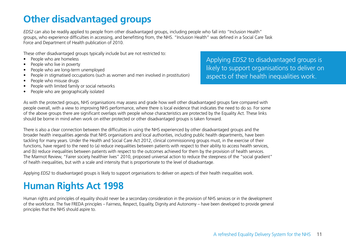## **Other disadvantaged groups**

*EDS2* can also be readily applied to people from other disadvantaged groups, including people who fall into "Inclusion Health" groups, who experience difficulties in accessing, and benefitting from, the NHS. "Inclusion Health" was defined in a Social Care Task Force and Department of Health publication of 2010.

These other disadvantaged groups typically include but are not restricted to:

- People who are homeless
- People who live in poverty
- People who are long-term unemployed
- People in stigmatised occupations (such as women and men involved in prostitution)
- People who misuse drugs
- People with limited family or social networks
- People who are geographically isolated

Applying *EDS2* to disadvantaged groups is likely to support organisations to deliver on aspects of their health inequalities work.

As with the protected groups, NHS organisations may assess and grade how well other disadvantaged groups fare compared with people overall, with a view to improving NHS performance, where there is local evidence that indicates the need to do so. For some of the above groups there are significant overlaps with people whose characteristics are protected by the Equality Act. These links should be borne in mind when work on either protected or other disadvantaged groups is taken forward.

There is also a clear connection between the difficulties in using the NHS experienced by other disadvantaged groups and the broader health inequalities agenda that NHS organisations and local authorities, including public health departments, have been tackling for many years. Under the Health and Social Care Act 2012, clinical commissioning groups must, in the exercise of their functions, have regard to the need to (a) reduce inequalities between patients with respect to their ability to access health services, and (b) reduce inequalities between patients with respect to the outcomes achieved for them by the provision of health services. The Marmot Review, "Fairer society healthier lives" 2010, proposed universal action to reduce the steepness of the "social gradient" of health inequalities, but with a scale and intensity that is proportionate to the level of disadvantage.

Applying *EDS2* to disadvantaged groups is likely to support organisations to deliver on aspects of their health inequalities work.

## **Human Rights Act 1998**

Human rights and principles of equality should never be a secondary consideration in the provision of NHS services or in the development of the workforce. The five FREDA principles – Fairness, Respect, Equality, Dignity and Autonomy – have been developed to provide general principles that the NHS should aspire to.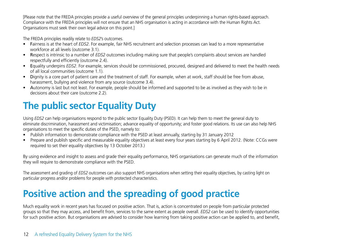[Please note that the FREDA principles provide a useful overview of the general principles underpinning a human rights-based approach. Compliance with the FREDA principles will not ensure that an NHS organisation is acting in accordance with the Human Rights Act. Organisations must seek their own legal advice on this point.]

The FREDA principles readily relate to *EDS2*'s outcomes.

- Fairness is at the heart of *EDS2*. For example, fair NHS recruitment and selection processes can lead to a more representative workforce at all levels (outcome 3.1).
- Respect is intrinsic to a number of *EDS2* outcomes including making sure that people's complaints about services are handled respectfully and efficiently (outcome 2.4).
- Equality underpins *EDS2*. For example, services should be commissioned, procured, designed and delivered to meet the health needs of all local communities (outcome 1.1).
- Dignity is a core part of patient care and the treatment of staff. For example, when at work, staff should be free from abuse, harassment, bullying and violence from any source (outcome 3.4).
- Autonomy is last but not least. For example, people should be informed and supported to be as involved as they wish to be in decisions about their care (outcome 2.2).

## **The public sector Equality Duty**

Using *EDS2* can help organisations respond to the public sector Equality Duty (PSED). It can help them to meet the general duty to eliminate discrimination, harassment and victimisation; advance equality of opportunity; and foster good relations. Its use can also help NHS organisations to meet the specific duties of the PSED, namely to:

- Publish information to demonstrate compliance with the PSED at least annually, starting by 31 January 2012
- Prepare and publish specific and measurable equality objectives at least every four years starting by 6 April 2012. (Note: CCGs were required to set their equality objectives by 13 October 2013.)

By using evidence and insight to assess and grade their equality performance, NHS organisations can generate much of the information they will require to demonstrate compliance with the PSED.

The assessment and grading of *EDS2* outcomes can also support NHS organisations when setting their equality objectives, by casting light on particular progress and/or problems for people with protected characteristics.

## **Positive action and the spreading of good practice**

Much equality work in recent years has focused on positive action. That is, action is concentrated on people from particular protected groups so that they may access, and benefit from, services to the same extent as people overall. *EDS2* can be used to identify opportunities for such positive action. But organisations are advised to consider how learning from taking positive action can be applied to, and benefit,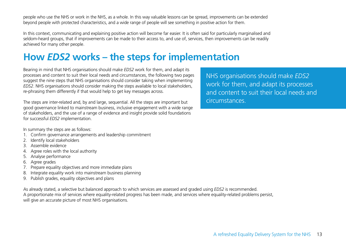people who use the NHS or work in the NHS, as a whole. In this way valuable lessons can be spread, improvements can be extended beyond people with protected characteristics, and a wide range of people will see something in positive action for them.

In this context, communicating and explaining positive action will become far easier. It is often said for particularly marginalised and seldom-heard groups, that if improvements can be made to their access to, and use of, services, then improvements can be readily achieved for many other people.

### **How** *EDS2* **works – the steps for implementation**

Bearing in mind that NHS organisations should make *EDS2* work for them, and adapt its processes and content to suit their local needs and circumstances, the following two pages suggest the nine steps that NHS organisations should consider taking when implementing *EDS2*. NHS organisations should consider making the steps available to local stakeholders, re-phrasing them differently if that would help to get key messages across.

The steps are inter-related and, by and large, sequential. All the steps are important but good governance linked to mainstream business, inclusive engagement with a wide range of stakeholders, and the use of a range of evidence and insight provide solid foundations for successful *EDS2* implementation.

In summary the steps are as follows:

- 1. Confirm governance arrangements and leadership commitment
- 2. Identify local stakeholders
- 3. Assemble evidence
- 4. Agree roles with the local authority
- 5. Analyse performance
- 6. Agree grades
- 7. Prepare equality objectives and more immediate plans
- 8. Integrate equality work into mainstream business planning
- 9. Publish grades, equality objectives and plans

As already stated, a selective but balanced approach to which services are assessed and graded using *EDS2* is recommended. A proportionate mix of services where equality-related progress has been made, and services where equality-related problems persist, will give an accurate picture of most NHS organisations.

NHS organisations should make *EDS2* work for them, and adapt its processes and content to suit their local needs and circumstances.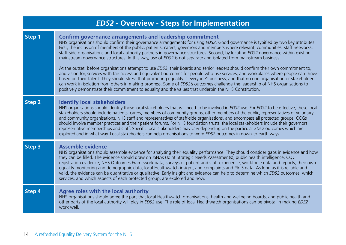|               | <b>EDS2 - Overview - Steps for Implementation</b>                                                                                                                                                                                                                                                                                                                                                                                                                                                                                                                                                                                                                                                                                                                                                                                                                                                                                                                                                                                                                                                                                                                                                                                                                          |
|---------------|----------------------------------------------------------------------------------------------------------------------------------------------------------------------------------------------------------------------------------------------------------------------------------------------------------------------------------------------------------------------------------------------------------------------------------------------------------------------------------------------------------------------------------------------------------------------------------------------------------------------------------------------------------------------------------------------------------------------------------------------------------------------------------------------------------------------------------------------------------------------------------------------------------------------------------------------------------------------------------------------------------------------------------------------------------------------------------------------------------------------------------------------------------------------------------------------------------------------------------------------------------------------------|
| Step 1        | <b>Confirm governance arrangements and leadership commitment</b><br>NHS organisations should confirm their governance arrangements for using EDS2. Good governance is typified by two key attributes.<br>First, the inclusion of members of the public, patients, carers, governors and members where relevant, communities, staff networks,<br>staff-side organisations and local authority partners in governance structures. Second, by locating EDS2 governance within existing<br>mainstream governance structures. In this way, use of EDS2 is not separate and isolated from mainstream business.<br>At the outset, before organisations attempt to use EDS2, their Boards and senior leaders should confirm their own commitment to,<br>and vision for, services with fair access and equivalent outcomes for people who use services, and workplaces where people can thrive<br>based on their talent. They should stress that promoting equality is everyone's business, and that no one organisation or stakeholder<br>can work in isolation from others in making progress. Some of EDS2's outcomes challenge the leadership of NHS organisations to<br>positively demonstrate their commitment to equality and the values that underpin the NHS Constitution. |
| <b>Step 2</b> | <b>Identify local stakeholders</b><br>NHS organisations should identify those local stakeholders that will need to be involved in EDS2 use. For EDS2 to be effective, these local<br>stakeholders should include patients, carers, members of community groups, other members of the public, representatives of voluntary<br>and community organisations, NHS staff and representatives of staff-side organisations, and encompass all protected groups. CCGs<br>should involve member practices and their patient forums. For NHS foundation trusts, the local stakeholders include their governors,<br>representative memberships and staff. Specific local stakeholders may vary depending on the particular EDS2 outcomes which are<br>explored and in what way. Local stakeholders can help organisations to word EDS2 outcomes in down-to-earth ways.                                                                                                                                                                                                                                                                                                                                                                                                                |
| Step 3        | <b>Assemble evidence</b><br>NHS organisations should assemble evidence for analysing their equality performance. They should consider gaps in evidence and how<br>they can be filled. The evidence should draw on JSNAs (Joint Strategic Needs Assessments), public health intelligence, CQC<br>registration evidence, NHS Outcomes Framework data, surveys of patient and staff experience, workforce data and reports, their own<br>equality monitoring and demographic data, local Healthwatch insight, and complaints and PALS data. As long as it is reliable and<br>valid, the evidence can be quantitative or qualitative. Early insight and evidence can help to determine which EDS2 outcomes, which<br>services, and which aspects of each protected group, are explored and how.                                                                                                                                                                                                                                                                                                                                                                                                                                                                                |
| Step 4        | Agree roles with the local authority<br>NHS organisations should agree the part that local Healthwatch organisations, health and wellbeing boards, and public health and<br>other parts of the local authority will play in EDS2 use. The role of local Healthwatch organisations can be pivotal in making EDS2<br>work well.                                                                                                                                                                                                                                                                                                                                                                                                                                                                                                                                                                                                                                                                                                                                                                                                                                                                                                                                              |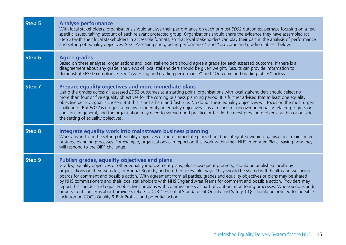| Step 5        | <b>Analyse performance</b><br>With local stakeholders, organisations should analyse their performance on each or most EDS2 outcomes, perhaps focusing on a few<br>specific issues, taking account of each relevant protected group. Organisations should share the evidence they have assembled (at<br>Step 3) with their local stakeholders in accessible formats, so that local stakeholders can play their part in the analysis of performance<br>and setting of equality objectives. See "Assessing and grading performance" and "Outcome and grading tables" below.                                                                                                                                                                                                                                                                                                                                                                      |
|---------------|-----------------------------------------------------------------------------------------------------------------------------------------------------------------------------------------------------------------------------------------------------------------------------------------------------------------------------------------------------------------------------------------------------------------------------------------------------------------------------------------------------------------------------------------------------------------------------------------------------------------------------------------------------------------------------------------------------------------------------------------------------------------------------------------------------------------------------------------------------------------------------------------------------------------------------------------------|
| Step 6        | <b>Agree grades</b><br>Based on these analyses, organisations and local stakeholders should agree a grade for each assessed outcome. If there is a<br>disagreement about any grade, the views of local stakeholders should be given weight. Results can provide information to<br>demonstrate PSED compliance. See "Assessing and grading performance" and "Outcome and grading tables" below.                                                                                                                                                                                                                                                                                                                                                                                                                                                                                                                                                |
| Step 7        | Prepare equality objectives and more immediate plans<br>Using the grades across all assessed EDS2 outcomes as a starting point, organisations with local stakeholders should select no<br>more than four or five equality objectives for the coming business planning period. It is further advised that at least one equality<br>objective per EDS goal is chosen. But this is not a hard and fast rule. No doubt these equality objectives will focus on the most urgent<br>challenges. But EDS2 is not just a means for identifying equality objectives. It is a means for uncovering equality-related progress or<br>concerns in general, and the organisation may need to spread good practice or tackle the most pressing problems within or outside<br>the setting of equality objectives.                                                                                                                                             |
| <b>Step 8</b> | Integrate equality work into mainstream business planning<br>Work arising from the setting of equality objectives or more immediate plans should be integrated within organisations' mainstream<br>business planning processes. For example, organisations can report on this work within their NHS Integrated Plans, saying how they<br>will respond to the QIPP challenge.                                                                                                                                                                                                                                                                                                                                                                                                                                                                                                                                                                  |
| Step 9        | <b>Publish grades, equality objectives and plans</b><br>Grades, equality objectives or other equality improvement plans, plus subsequent progress, should be published locally by<br>organisations on their websites, in Annual Reports, and in other accessible ways. They should be shared with health and wellbeing<br>boards for comment and possible action. With agreement from all parties, grades and equality objectives or plans may be shared<br>by NHS commissioners and their local stakeholders with NHS England Area Teams for comment and possible action. Providers may<br>report their grades and equality objectives or plans with commissioners as part of contract monitoring processes. Where serious and/<br>or persistent concerns about providers relate to CQC's Essential Standards of Quality and Safety, CQC should be notified for possible<br>inclusion on CQC's Quality & Risk Profiles and potential action. |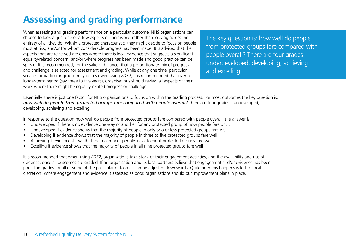## **Assessing and grading performance**

When assessing and grading performance on a particular outcome, NHS organisations can choose to look at just one or a few aspects of their work, rather than looking across the entirety of all they do. Within a protected characteristic, they might decide to focus on people most at risk, and/or for whom considerable progress has been made. It is advised that the aspects that are reviewed are ones where there is local evidence that suggests a significant equality-related concern; and/or where progress has been made and good practice can be spread. It is recommended, for the sake of balance, that a proportionate mix of progress and challenge is selected for assessment and grading. While at any one time, particular services or particular groups may be reviewed using *EDS2*, it is recommended that over a longer-term period (say three to five years), organisations should review all aspects of their work where there might be equality-related progress or challenge.

The key question is: how well do people from protected groups fare compared with people overall? There are four grades – underdeveloped, developing, achieving and excelling.

Essentially, there is just one factor for NHS organisations to focus on within the grading process. For most outcomes the key question is: *how well do people from protected groups fare compared with people overall?* There are four grades – undeveloped, developing, achieving and excelling.

In response to the question how well do people from protected groups fare compared with people overall, the answer is:

- Undeveloped if there is no evidence one way or another for any protected group of how people fare or …
- Undeveloped if evidence shows that the majority of people in only two or less protected groups fare well
- Developing if evidence shows that the majority of people in three to five protected groups fare well
- Achieving if evidence shows that the majority of people in six to eight protected groups fare well
- Excelling if evidence shows that the majority of people in all nine protected groups fare well

It is recommended that when using *EDS2*, organisations take stock of their engagement activities, and the availability and use of evidence, once all outcomes are graded. If an organisation and its local partners believe that engagement and/or evidence has been poor, the grades for all or some of the particular outcomes can be adjusted downwards. Quite how this happens is left to local discretion. Where engagement and evidence is assessed as poor, organisations should put improvement plans in place.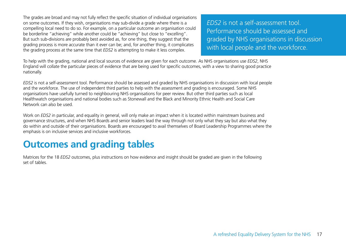The grades are broad and may not fully reflect the specific situation of individual organisations on some outcomes. If they wish, organisations may sub-divide a grade where there is a compelling local need to do so. For example, on a particular outcome an organisation could be borderline "achieving" while another could be "achieving" but close to "excelling". But such sub-divisions are probably best avoided as, for one thing, they suggest that the grading process is more accurate than it ever can be; and, for another thing, it complicates the grading process at the same time that *EDS2* is attempting to make it less complex.

*EDS2* is not a self-assessment tool. Performance should be assessed and graded by NHS organisations in discussion with local people and the workforce.

To help with the grading, national and local sources of evidence are given for each outcome. As NHS organisations use *EDS2*, NHS England will collate the particular pieces of evidence that are being used for specific outcomes, with a view to sharing good practice nationally.

*EDS2* is not a self-assessment tool. Performance should be assessed and graded by NHS organisations in discussion with local people and the workforce. The use of independent third parties to help with the assessment and grading is encouraged. Some NHS organisations have usefully turned to neighbouring NHS organisations for peer review. But other third parties such as local Healthwatch organisations and national bodies such as Stonewall and the Black and Minority Ethnic Health and Social Care Network can also be used.

Work on *EDS2* in particular, and equality in general, will only make an impact when it is located within mainstream business and governance structures, and when NHS Boards and senior leaders lead the way through not only what they say but also what they do within and outside of their organisations. Boards are encouraged to avail themselves of Board Leadership Programmes where the emphasis is on inclusive services and inclusive workforces.

### **Outcomes and grading tables**

Matrices for the 18 *EDS2* outcomes, plus instructions on how evidence and insight should be graded are given in the following set of tables.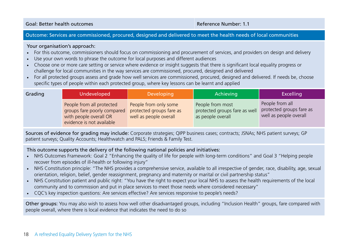Goal: Better health outcomes Reference Number: 1.1

#### Outcome: Services are commissioned, procured, designed and delivered to meet the health needs of local communities

#### Your organisation's approach:

- For this outcome, commissioners should focus on commissioning and procurement of services, and providers on design and delivery
- Use your own words to phrase the outcome for local purposes and different audiences
- Choose one or more care setting or service where evidence or insight suggests that there is significant local equality progress or challenge for local communities in the way services are commissioned, procured, designed and delivered
- For all protected groups assess and grade how well services are commissioned, procured, designed and delivered. If needs be, choose specific types of people within each protected group, where key lessons can be learnt and applied

| Grading | Undeveloped                                                                                                     | <b>Developing</b>                                                           | Achieving                                                              | <b>Excelling</b>                                                      |
|---------|-----------------------------------------------------------------------------------------------------------------|-----------------------------------------------------------------------------|------------------------------------------------------------------------|-----------------------------------------------------------------------|
|         | People from all protected<br>groups fare poorly compared<br>with people overall OR<br>evidence is not available | People from only some<br>protected groups fare as<br>well as people overall | People from most<br>protected groups fare as well<br>as people overall | People from all<br>protected groups fare as<br>well as people overall |

Sources of evidence for grading may include: Corporate strategies; QIPP business cases; contracts; JSNAs; NHS patient surveys; GP patient surveys; Quality Accounts; Healthwatch and PALS; Friends & Family Test.

This outcome supports the delivery of the following national policies and initiatives:

- NHS Outcomes Framework: Goal 2 "Enhancing the quality of life for people with long-term conditions" and Goal 3 "Helping people recover from episodes of ill-health or following injury"
- NHS Constitution principle: "The NHS provides a comprehensive service, available to all irrespective of gender, race, disability, age, sexual orientation, religion, belief, gender reassignment, pregnancy and maternity or marital or civil partnership status"
- NHS Constitution patient and public right: "You have the right to expect your local NHS to assess the health requirements of the local community and to commission and put in place services to meet those needs where considered necessary"
- CQC's key inspection questions: Are services effective? Are services responsive to people's needs?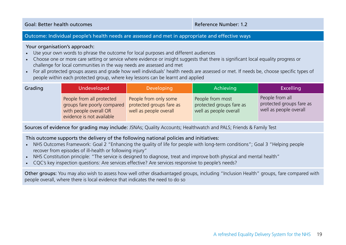Goal: Better health outcomes Reference Number: 1.2

#### Outcome: Individual people's health needs are assessed and met in appropriate and effective ways

#### Your organisation's approach:

- Use your own words to phrase the outcome for local purposes and different audiences
- Choose one or more care setting or service where evidence or insight suggests that there is significant local equality progress or challenge for local communities in the way needs are assessed and met
- For all protected groups assess and grade how well individuals' health needs are assessed or met. If needs be, choose specific types of people within each protected group, where key lessons can be learnt and applied

| Grading | Undeveloped                                                                                                     | <b>Developing</b>                                                           | Achieving                                                              | <b>Excelling</b>                                                      |
|---------|-----------------------------------------------------------------------------------------------------------------|-----------------------------------------------------------------------------|------------------------------------------------------------------------|-----------------------------------------------------------------------|
|         | People from all protected<br>groups fare poorly compared<br>with people overall OR<br>evidence is not available | People from only some<br>protected groups fare as<br>well as people overall | People from most<br>protected groups fare as<br>well as people overall | People from all<br>protected groups fare as<br>well as people overall |

Sources of evidence for grading may include: JSNAs; Quality Accounts; Healthwatch and PALS; Friends & Family Test

#### This outcome supports the delivery of the following national policies and initiatives:

- NHS Outcomes Framework: Goal 2 "Enhancing the quality of life for people with long-term conditions"; Goal 3 "Helping people recover from episodes of ill-health or following injury"
- NHS Constitution principle: "The service is designed to diagnose, treat and improve both physical and mental health"
- CQC's key inspection questions: Are services effective? Are services responsive to people's needs?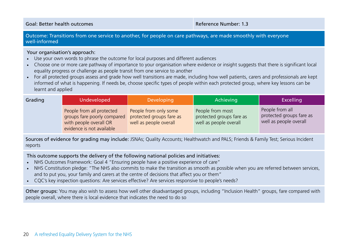Goal: Better health outcomes and the settlement of the settlement of the Reference Number: 1.3

Outcome: Transitions from one service to another, for people on care pathways, are made smoothly with everyone well-informed

#### Your organisation's approach:

- Use your own words to phrase the outcome for local purposes and different audiences
- Choose one or more care pathway of importance to your organisation where evidence or insight suggests that there is significant local equality progress or challenge as people transit from one service to another
- For all protected groups assess and grade how well transitions are made, including how well patients, carers and professionals are kept informed of what is happening. If needs be, choose specific types of people within each protected group, where key lessons can be learnt and applied

| Grading | <b>Undeveloped</b>                                                                                              | Developing                                                                  | Achieving                                                              | <b>Excelling</b>                                                      |
|---------|-----------------------------------------------------------------------------------------------------------------|-----------------------------------------------------------------------------|------------------------------------------------------------------------|-----------------------------------------------------------------------|
|         | People from all protected<br>groups fare poorly compared<br>with people overall OR<br>evidence is not available | People from only some<br>protected groups fare as<br>well as people overall | People from most<br>protected groups fare as<br>well as people overall | People from all<br>protected groups fare as<br>well as people overall |

Sources of evidence for grading may include: JSNAs; Quality Accounts; Healthwatch and PALS; Friends & Family Test; Serious Incident reports

This outcome supports the delivery of the following national policies and initiatives:

- NHS Outcomes Framework: Goal 4 "Ensuring people have a positive experience of care"
- NHS Constitution pledge: "The NHS also commits to make the transition as smooth as possible when you are referred between services, and to put you, your family and carers at the centre of decisions that affect you or them"
- CQC's key inspection questions: Are services effective? Are services responsive to people's needs?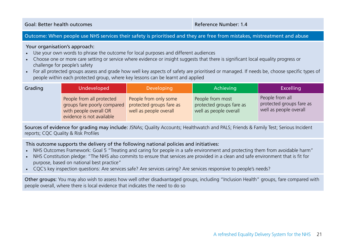Goal: Better health outcomes Reference Number: 1.4

#### Outcome: When people use NHS services their safety is prioritised and they are free from mistakes, mistreatment and abuse

#### Your organisation's approach:

- Use your own words to phrase the outcome for local purposes and different audiences
- Choose one or more care setting or service where evidence or insight suggests that there is significant local equality progress or challenge for people's safety
- For all protected groups assess and grade how well key aspects of safety are prioritised or managed. If needs be, choose specific types of people within each protected group, where key lessons can be learnt and applied

| Grading | Undeveloped                                                                                                     | Developing                                                                  | Achieving                                                              | <b>Excelling</b>                                                      |
|---------|-----------------------------------------------------------------------------------------------------------------|-----------------------------------------------------------------------------|------------------------------------------------------------------------|-----------------------------------------------------------------------|
|         | People from all protected<br>groups fare poorly compared<br>with people overall OR<br>evidence is not available | People from only some<br>protected groups fare as<br>well as people overall | People from most<br>protected groups fare as<br>well as people overall | People from all<br>protected groups fare as<br>well as people overall |

Sources of evidence for grading may include: JSNAs; Quality Accounts; Healthwatch and PALS; Friends & Family Test; Serious Incident reports; CQC Quality & Risk Profiles

This outcome supports the delivery of the following national policies and initiatives:

- NHS Outcomes Framework: Goal 5 "Treating and caring for people in a safe environment and protecting them from avoidable harm"
- NHS Constitution pledge: "The NHS also commits to ensure that services are provided in a clean and safe environment that is fit for purpose, based on national best practice"
- CQC's key inspection questions: Are services safe? Are services caring? Are services responsive to people's needs?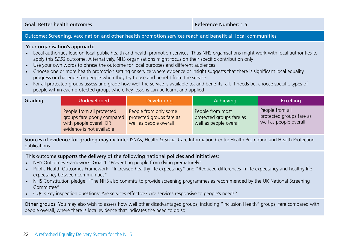Goal: Better health outcomes Reference Number: 1.5

#### Outcome: Screening, vaccination and other health promotion services reach and benefit all local communities

#### Your organisation's approach:

- Local authorities lead on local public health and health promotion services. Thus NHS organisations might work with local authorities to apply this *EDS2* outcome. Alternatively, NHS organisations might focus on their specific contribution only
- Use your own words to phrase the outcome for local purposes and different audiences
- Choose one or more health promotion setting or service where evidence or insight suggests that there is significant local equality progress or challenge for people when they try to use and benefit from the service
- For all protected groups assess and grade how well the service is available to, and benefits, all. If needs be, choose specific types of people within each protected group, where key lessons can be learnt and applied

| Grading | Undeveloped                                                                                                     | <b>Developing</b>                                                           | Achieving                                                              | <b>Excelling</b>                                                      |
|---------|-----------------------------------------------------------------------------------------------------------------|-----------------------------------------------------------------------------|------------------------------------------------------------------------|-----------------------------------------------------------------------|
|         | People from all protected<br>groups fare poorly compared<br>with people overall OR<br>evidence is not available | People from only some<br>protected groups fare as<br>well as people overall | People from most<br>protected groups fare as<br>well as people overall | People from all<br>protected groups fare as<br>well as people overall |

Sources of evidence for grading may include: JSNAs; Health & Social Care Information Centre Health Promotion and Health Protection publications

This outcome supports the delivery of the following national policies and initiatives:

- NHS Outcomes Framework: Goal 1 "Preventing people from dying prematurely"
- Public Health Outcomes Framework: "Increased healthy life expectancy" and "Reduced differences in life expectancy and healthy life expectancy between communities"
- NHS Constitution pledge: "The NHS also commits to provide screening programmes as recommended by the UK National Screening Committee"
- CQC's key inspection questions: Are services effective? Are services responsive to people's needs?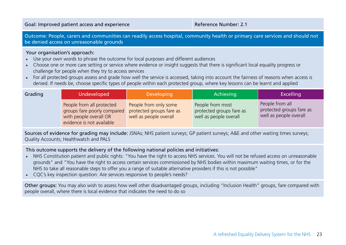Outcome: People, carers and communities can readily access hospital, community health or primary care services and should not be denied access on unreasonable grounds

#### Your organisation's approach:

- Use your own words to phrase the outcome for local purposes and different audiences
- Choose one or more care setting or service where evidence or insight suggests that there is significant local equality progress or challenge for people when they try to access services
- For all protected groups assess and grade how well the service is accessed, taking into account the fairness of reasons when access is denied. If needs be, choose specific types of people within each protected group, where key lessons can be learnt and applied

| Grading | Undeveloped                                                                                                     | <b>Developing</b>                                                           | Achieving                                                              | Excelling                                                             |
|---------|-----------------------------------------------------------------------------------------------------------------|-----------------------------------------------------------------------------|------------------------------------------------------------------------|-----------------------------------------------------------------------|
|         | People from all protected<br>groups fare poorly compared<br>with people overall OR<br>evidence is not available | People from only some<br>protected groups fare as<br>well as people overall | People from most<br>protected groups fare as<br>well as people overall | People from all<br>protected groups fare as<br>well as people overall |

Sources of evidence for grading may include: JSNAs; NHS patient surveys; GP patient surveys; A&E and other waiting times surveys; Quality Accounts; Healthwatch and PALS

This outcome supports the delivery of the following national policies and initiatives:

- NHS Constitution patient and public rights: "You have the right to access NHS services. You will not be refused access on unreasonable grounds" and "You have the right to access certain services commissioned by NHS bodies within maximum waiting times, or for the NHS to take all reasonable steps to offer you a range of suitable alternative providers if this is not possible"
- CQC's key inspection question: Are services responsive to people's needs?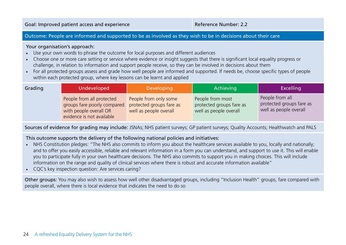#### Outcome: People are informed and supported to be as involved as they wish to be in decisions about their care

#### Your organisation's approach:

- Use your own words to phrase the outcome for local purposes and different audiences
- Choose one or more care setting or service where evidence or insight suggests that there is significant local equality progress or challenge, in relation to information and support people receive, so they can be involved in decisions about them
- For all protected groups assess and grade how well people are informed and supported. If needs be, choose specific types of people within each protected group, where key lessons can be learnt and applied

| Grading | Undeveloped                                                                                                     | Developing                                                                  | Achieving                                                              | <b>Excelling</b>                                                      |
|---------|-----------------------------------------------------------------------------------------------------------------|-----------------------------------------------------------------------------|------------------------------------------------------------------------|-----------------------------------------------------------------------|
|         | People from all protected<br>groups fare poorly compared<br>with people overall OR<br>evidence is not available | People from only some<br>protected groups fare as<br>well as people overall | People from most<br>protected groups fare as<br>well as people overall | People from all<br>protected groups fare as<br>well as people overall |

Sources of evidence for grading may include: JSNAs; NHS patient surveys; GP patient surveys; Quality Accounts; Healthwatch and PALS

#### This outcome supports the delivery of the following national policies and initiatives:

- NHS Constitution pledges: "The NHS also commits to inform you about the healthcare services available to you, locally and nationally; and to offer you easily accessible, reliable and relevant information in a form you can understand, and support to use it. This will enable you to participate fully in your own healthcare decisions. The NHS also commits to support you in making choices. This will include information on the range and quality of clinical services where there is robust and accurate information available"
- CQC's key inspection question: Are services caring?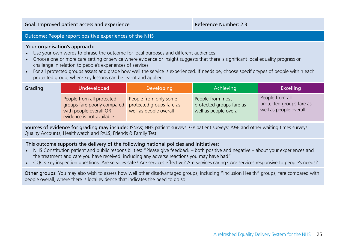#### Outcome: People report positive experiences of the NHS

#### Your organisation's approach:

- Use your own words to phrase the outcome for local purposes and different audiences
- Choose one or more care setting or service where evidence or insight suggests that there is significant local equality progress or challenge in relation to people's experiences of services
- For all protected groups assess and grade how well the service is experienced. If needs be, choose specific types of people within each protected group, where key lessons can be learnt and applied

| Grading | Undeveloped                                                                                                     | Developing                                                                  | Achieving                                                              | <b>Excelling</b>                                                      |
|---------|-----------------------------------------------------------------------------------------------------------------|-----------------------------------------------------------------------------|------------------------------------------------------------------------|-----------------------------------------------------------------------|
|         | People from all protected<br>groups fare poorly compared<br>with people overall OR<br>evidence is not available | People from only some<br>protected groups fare as<br>well as people overall | People from most<br>protected groups fare as<br>well as people overall | People from all<br>protected groups fare as<br>well as people overall |

Sources of evidence for grading may include: JSNAs; NHS patient surveys; GP patient surveys; A&E and other waiting times surveys; Quality Accounts; Healthwatch and PALS; Friends & Family Test

#### This outcome supports the delivery of the following national policies and initiatives:

- NHS Constitution patient and public responsibilities: "Please give feedback both positive and negative about your experiences and the treatment and care you have received, including any adverse reactions you may have had"
- CQC's key inspection questions: Are services safe? Are services effective? Are services caring? Are services responsive to people's needs?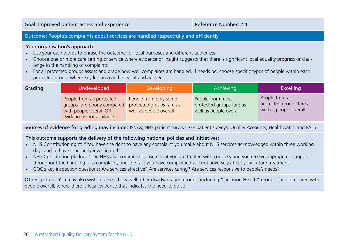### Outcome: People's complaints about services are handled respectfully and efficiently

#### Your organisation's approach:

- Use your own words to phrase the outcome for local purposes and different audiences
- Choose one or more care setting or service where evidence or insight suggests that there is significant local equality progress or challenge in the handling of complaints
- For all protected groups assess and grade how well complaints are handled. If needs be, choose specific types of people within each protected group, where key lessons can be learnt and applied

| Grading | Undeveloped                                                                                                     | Developing                                                                  | Achieving                                                              | <b>Excelling</b>                                                      |
|---------|-----------------------------------------------------------------------------------------------------------------|-----------------------------------------------------------------------------|------------------------------------------------------------------------|-----------------------------------------------------------------------|
|         | People from all protected<br>groups fare poorly compared<br>with people overall OR<br>evidence is not available | People from only some<br>protected groups fare as<br>well as people overall | People from most<br>protected groups fare as<br>well as people overall | People from all<br>protected groups fare as<br>well as people overall |

Sources of evidence for grading may include: JSNAs; NHS patient surveys; GP patient surveys; Quality Accounts; Healthwatch and PALS

#### This outcome supports the delivery of the following national policies and initiatives:

- NHS Constitution right: "You have the right to have any complaint you make about NHS services acknowledged within three working days and to have it properly investigated"
- NHS Constitution pledge: "The NHS also commits to ensure that you are treated with courtesy and you receive appropriate support throughout the handling of a complaint, and the fact you have complained will not adversely affect your future treatment"
- CQC's key inspection questions: Are services effective? Are services caring? Are services responsive to people's needs?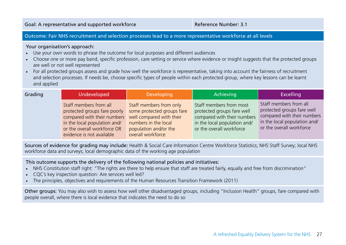#### Outcome: Fair NHS recruitment and selection processes lead to a more representative workforce at all levels

Your organisation's approach:

- Use your own words to phrase the outcome for local purposes and different audiences
- Choose one or more pay band, specific profession, care setting or service where evidence or insight suggests that the protected groups are well or not well represented
- For all protected groups assess and grade how well the workforce is representative, taking into account the fairness of recruitment and selection processes. If needs be, choose specific types of people within each protected group, where key lessons can be learnt and applied

| Grading | Undeveloped                                                                                                                                                                       | <b>Developing</b>                                                                                                                                       | Achieving                                                                                                                                        | <b>Excelling</b>                                                                                                                                |
|---------|-----------------------------------------------------------------------------------------------------------------------------------------------------------------------------------|---------------------------------------------------------------------------------------------------------------------------------------------------------|--------------------------------------------------------------------------------------------------------------------------------------------------|-------------------------------------------------------------------------------------------------------------------------------------------------|
|         | Staff members from all<br>protected groups fare poorly<br>compared with their numbers<br>in the local population and/<br>or the overall workforce OR<br>evidence is not available | Staff members from only<br>some protected groups fare<br>well compared with their<br>numbers in the local<br>population and/or the<br>overall workforce | Staff members from most<br>protected groups fare well<br>compared with their numbers<br>in the local population and/<br>or the overall workforce | Staff members from all<br>protected groups fare well<br>compared with their numbers<br>in the local population and/<br>or the overall workforce |

Sources of evidence for grading may include: Health & Social Care Information Centre Workforce Statistics; NHS Staff Survey; local NHS workforce data and surveys; local demographic data of the working age population

This outcome supports the delivery of the following national policies and initiatives:

- NHS Constitution staff right: "The rights are there to help ensure that staff are treated fairly, equally and free from discrimination"
- CQC's key inspection question: Are services well led?
- The principles, objectives and requirements of the Human Resources Transition Framework (2011)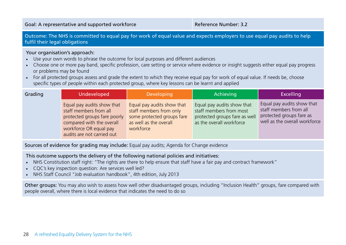Outcome: The NHS is committed to equal pay for work of equal value and expects employers to use equal pay audits to help fulfil their legal obligations

#### Your organisation's approach:

- Use your own words to phrase the outcome for local purposes and different audiences
- Choose one or more pay band, specific profession, care setting or service where evidence or insight suggests either equal pay progress or problems may be found
- For all protected groups assess and grade the extent to which they receive equal pay for work of equal value. If needs be, choose specific types of people within each protected group, where key lessons can be learnt and applied

| Grading | <b>Undeveloped</b>                                                                                                                                                        | <b>Developing</b>                                                                                                          | Achieving                                                                                                          | <b>Excelling</b>                                                                                                  |
|---------|---------------------------------------------------------------------------------------------------------------------------------------------------------------------------|----------------------------------------------------------------------------------------------------------------------------|--------------------------------------------------------------------------------------------------------------------|-------------------------------------------------------------------------------------------------------------------|
|         | Equal pay audits show that<br>staff members from all<br>protected groups fare poorly<br>compared with the overall<br>workforce OR equal pay<br>audits are not carried out | Equal pay audits show that<br>staff members from only<br>some protected groups fare<br>as well as the overall<br>workforce | Equal pay audits show that<br>staff members from most<br>protected groups fare as well<br>as the overall workforce | Equal pay audits show that<br>staff members from all<br>protected groups fare as<br>well as the overall workforce |

Sources of evidence for grading may include: Equal pay audits: Agenda for Change evidence

This outcome supports the delivery of the following national policies and initiatives:

- NHS Constitution staff right: "The rights are there to help ensure that staff have a fair pay and contract framework"
- CQC's key inspection question: Are services well led?
- NHS Staff Council "Job evaluation handbook", 4th edition, July 2013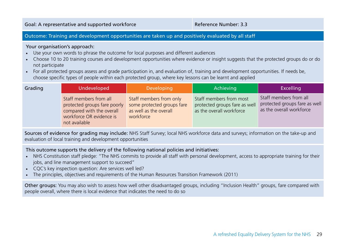### Outcome: Training and development opportunities are taken up and positively evaluated by all staff

#### Your organisation's approach:

- Use your own words to phrase the outcome for local purposes and different audiences
- Choose 10 to 20 training courses and development opportunities where evidence or insight suggests that the protected groups do or do not participate
- For all protected groups assess and grade participation in, and evaluation of, training and development opportunities. If needs be, choose specific types of people within each protected group, where key lessons can be learnt and applied

| Grading | Undeveloped                                                                                                                      | Developing                                                                                   | Achieving                                                                            | <b>Excelling</b>                                                                    |
|---------|----------------------------------------------------------------------------------------------------------------------------------|----------------------------------------------------------------------------------------------|--------------------------------------------------------------------------------------|-------------------------------------------------------------------------------------|
|         | Staff members from all<br>protected groups fare poorly<br>compared with the overall<br>workforce OR evidence is<br>not available | Staff members from only<br>some protected groups fare<br>as well as the overall<br>workforce | Staff members from most<br>protected groups fare as well<br>as the overall workforce | Staff members from all<br>protected groups fare as well<br>as the overall workforce |

Sources of evidence for grading may include: NHS Staff Survey; local NHS workforce data and surveys; information on the take-up and evaluation of local training and development opportunities

This outcome supports the delivery of the following national policies and initiatives:

- NHS Constitution staff pledge: "The NHS commits to provide all staff with personal development, access to appropriate training for their jobs, and line management support to succeed"
- CQC's key inspection question: Are services well led?
- The principles, objectives and requirements of the Human Resources Transition Framework (2011)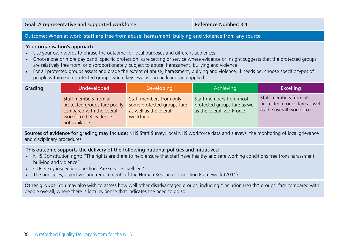#### Outcome: When at work, staff are free from abuse, harassment, bullying and violence from any source

#### Your organisation's approach:

- Use your own words to phrase the outcome for local purposes and different audiences
- Choose one or more pay band, specific profession, care setting or service where evidence or insight suggests that the protected groups are relatively free from, or disproportionately, subject to abuse, harassment, bullying and violence
- For all protected groups assess and grade the extent of abuse, harassment, bullying and violence. If needs be, choose specific types of people within each protected group, where key lessons can be learnt and applied

| Grading | Undeveloped                                                                                                                      | Developing                                                                                   | Achieving                                                                            | <b>Excelling</b>                                                                    |
|---------|----------------------------------------------------------------------------------------------------------------------------------|----------------------------------------------------------------------------------------------|--------------------------------------------------------------------------------------|-------------------------------------------------------------------------------------|
|         | Staff members from all<br>protected groups fare poorly<br>compared with the overall<br>workforce OR evidence is<br>not available | Staff members from only<br>some protected groups fare<br>as well as the overall<br>workforce | Staff members from most<br>protected groups fare as well<br>as the overall workforce | Staff members from all<br>protected groups fare as well<br>as the overall workforce |

Sources of evidence for grading may include: NHS Staff Survey; local NHS workforce data and surveys; the monitoring of local grievance and disciplinary procedures

This outcome supports the delivery of the following national policies and initiatives:

- NHS Constitution right: "The rights are there to help ensure that staff have healthy and safe working conditions free from harassment, bullying and violence"
- CQC's key inspection question: Are services well led?
- The principles, objectives and requirements of the Human Resources Transition Framework (2011)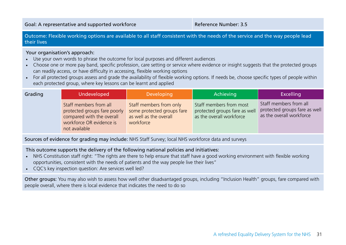Outcome: Flexible working options are available to all staff consistent with the needs of the service and the way people lead their lives

#### Your organisation's approach:

- Use your own words to phrase the outcome for local purposes and different audiences
- Choose one or more pay band, specific profession, care setting or service where evidence or insight suggests that the protected groups can readily access, or have difficulty in accessing, flexible working options
- For all protected groups assess and grade the availability of flexible working options. If needs be, choose specific types of people within each protected group, where key lessons can be learnt and applied

| Grading | Undeveloped                                                                                                                      | Developing                                                                                   | Achieving                                                                            | <b>Excelling</b>                                                                    |
|---------|----------------------------------------------------------------------------------------------------------------------------------|----------------------------------------------------------------------------------------------|--------------------------------------------------------------------------------------|-------------------------------------------------------------------------------------|
|         | Staff members from all<br>protected groups fare poorly<br>compared with the overall<br>workforce OR evidence is<br>not available | Staff members from only<br>some protected groups fare<br>as well as the overall<br>workforce | Staff members from most<br>protected groups fare as well<br>as the overall workforce | Staff members from all<br>protected groups fare as well<br>as the overall workforce |

Sources of evidence for grading may include: NHS Staff Survey; local NHS workforce data and surveys

This outcome supports the delivery of the following national policies and initiatives:

- NHS Constitution staff right: "The rights are there to help ensure that staff have a good working environment with flexible working opportunities, consistent with the needs of patients and the way people live their lives"
- CQC's key inspection question: Are services well led?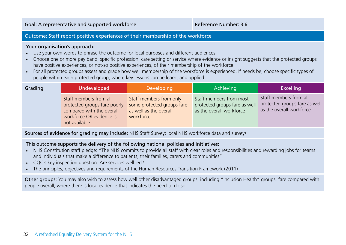### Outcome: Staff report positive experiences of their membership of the workforce

#### Your organisation's approach:

- Use your own words to phrase the outcome for local purposes and different audiences
- Choose one or more pay band, specific profession, care setting or service where evidence or insight suggests that the protected groups have positive experiences, or not-so positive experiences, of their membership of the workforce
- For all protected groups assess and grade how well membership of the workforce is experienced. If needs be, choose specific types of people within each protected group, where key lessons can be learnt and applied

| Grading | <b>Undeveloped</b>                                                                                                               | Developing                                                                                   | Achieving                                                                            | <b>Excelling</b>                                                                    |
|---------|----------------------------------------------------------------------------------------------------------------------------------|----------------------------------------------------------------------------------------------|--------------------------------------------------------------------------------------|-------------------------------------------------------------------------------------|
|         | Staff members from all<br>protected groups fare poorly<br>compared with the overall<br>workforce OR evidence is<br>not available | Staff members from only<br>some protected groups fare<br>as well as the overall<br>workforce | Staff members from most<br>protected groups fare as well<br>as the overall workforce | Staff members from all<br>protected groups fare as well<br>as the overall workforce |

Sources of evidence for grading may include: NHS Staff Survey; local NHS workforce data and surveys

This outcome supports the delivery of the following national policies and initiatives:

- NHS Constitution staff pledge: "The NHS commits to provide all staff with clear roles and responsibilities and rewarding jobs for teams and individuals that make a difference to patients, their families, carers and communities"
- CQC's key inspection question: Are services well led?
- The principles, objectives and requirements of the Human Resources Transition Framework (2011)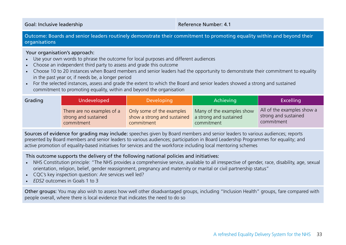Goal: Inclusive leadership **Reference Number: 4.1** Coal: Inclusive leadership

Outcome: Boards and senior leaders routinely demonstrate their commitment to promoting equality within and beyond their organisations

#### Your organisation's approach:

- Use your own words to phrase the outcome for local purposes and different audiences
- Choose an independent third party to assess and grade this outcome
- Choose 10 to 20 instances when Board members and senior leaders had the opportunity to demonstrate their commitment to equality in the past year or, if needs be, a longer period
- For the selected instances, assess and grade the extent to which the Board and senior leaders showed a strong and sustained commitment to promoting equality, within and beyond the organisation

| Grading | Undeveloped                | <b>Developing</b>           | Achieving                 | <b>Excelling</b>           |
|---------|----------------------------|-----------------------------|---------------------------|----------------------------|
|         | There are no examples of a | Only some of the examples   | Many of the examples show | All of the examples show a |
|         | strong and sustained       | show a strong and sustained | a strong and sustained    | strong and sustained       |
|         | commitment                 | commitment                  | commitment                | commitment                 |

Sources of evidence for grading may include: speeches given by Board members and senior leaders to various audiences; reports presented by Board members and senior leaders to various audiences; participation in Board Leadership Programmes for equality; and active promotion of equality-based initiatives for services and the workforce including local mentoring schemes

### This outcome supports the delivery of the following national policies and initiatives:

- NHS Constitution principle: "The NHS provides a comprehensive service, available to all irrespective of gender, race, disability, age, sexual orientation, religion, belief, gender reassignment, pregnancy and maternity or marital or civil partnership status"
- CQC's key inspection question: Are services well led?
- *EDS2* outcomes in Goals 1 to 3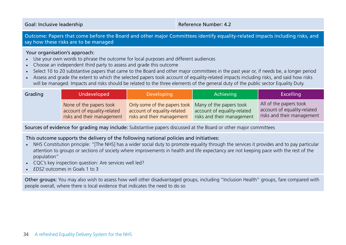Goal: Inclusive leadership **Reference Number: 4.2** Coal: Inclusive leadership

Outcome: Papers that come before the Board and other major Committees identify equality-related impacts including risks, and say how these risks are to be managed

#### Your organisation's approach:

- Use your own words to phrase the outcome for local purposes and different audiences
- Choose an independent third party to assess and grade this outcome
- Select 10 to 20 substantive papers that came to the Board and other major committees in the past year or, if needs be, a longer period
- Assess and grade the extent to which the selected papers took account of equality-related impacts including risks, and said how risks will be managed. Impacts and risks should be related to the three elements of the general duty of the public sector Equality Duty.

| Grading | Undeveloped                                                                          | Developing                                                                                                        | Achieving                                                 | <b>Excelling</b>                                                                    |
|---------|--------------------------------------------------------------------------------------|-------------------------------------------------------------------------------------------------------------------|-----------------------------------------------------------|-------------------------------------------------------------------------------------|
|         | None of the papers took<br>account of equality-related<br>risks and their management | Only some of the papers took Many of the papers took<br>account of equality-related<br>risks and their management | account of equality-related<br>risks and their management | All of the papers took<br>account of equality-related<br>risks and their management |

Sources of evidence for grading may include: Substantive papers discussed at the Board or other major committees

### This outcome supports the delivery of the following national policies and initiatives:

- NHS Constitution principle: "[The NHS] has a wider social duty to promote equality through the services it provides and to pay particular attention to groups or sections of society where improvements in health and life expectancy are not keeping pace with the rest of the population"
- CQC's key inspection question: Are services well led?
- *EDS2* outcomes in Goals 1 to 3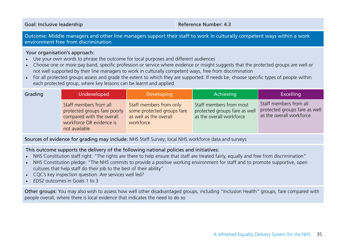Goal: Inclusive leadership **Goal: Inclusive leadership** Reference Number: 4.3

Outcome: Middle managers and other line managers support their staff to work in culturally competent ways within a work environment free from discrimination

#### Your organisation's approach:

- Use your own words to phrase the outcome for local purposes and different audiences
- Choose one or more pay band, specific profession or service where evidence or insight suggests that the protected groups are well or not well supported by their line managers to work in culturally competent ways, free from discrimination
- For all protected groups assess and grade the extent to which they are supported. If needs be, choose specific types of people within each protected group, where key lessons can be learnt and applied

| Grading | Undeveloped                                                                                                                      | Developing                                                                                   | Achieving                                                                            | <b>Excelling</b>                                                                    |
|---------|----------------------------------------------------------------------------------------------------------------------------------|----------------------------------------------------------------------------------------------|--------------------------------------------------------------------------------------|-------------------------------------------------------------------------------------|
|         | Staff members from all<br>protected groups fare poorly<br>compared with the overall<br>workforce OR evidence is<br>not available | Staff members from only<br>some protected groups fare<br>as well as the overall<br>workforce | Staff members from most<br>protected groups fare as well<br>as the overall workforce | Staff members from all<br>protected groups fare as well<br>as the overall workforce |

Sources of evidence for grading may include: NHS Staff Survey; local NHS workforce data and surveys

This outcome supports the delivery of the following national policies and initiatives:

- NHS Constitution staff right: "The rights are there to help ensure that staff are treated fairly, equally and free from discrimination"
- NHS Constitution pledge: "The NHS commits to provide a positive working environment for staff and to promote supportive, open cultures that help staff do their job to the best of their ability"
- CQC's key inspection question: Are services well led?
- *EDS2* outcomes in Goals 1 to 3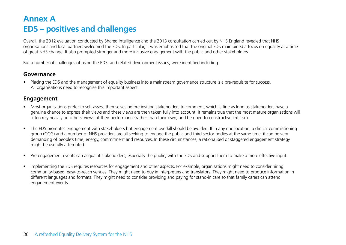### **Annex A EDS – positives and challenges**

Overall, the 2012 evaluation conducted by Shared Intelligence and the 2013 consultation carried out by NHS England revealed that NHS organisations and local partners welcomed the EDS. In particular, it was emphasised that the original EDS maintained a focus on equality at a time of great NHS change. It also prompted stronger and more inclusive engagement with the public and other stakeholders.

But a number of challenges of using the EDS, and related development issues, were identified including:

### **Governance**

• Placing the EDS and the management of equality business into a mainstream governance structure is a pre-requisite for success. All organisations need to recognise this important aspect.

### **Engagement**

- Most organisations prefer to self-assess themselves before inviting stakeholders to comment, which is fine as long as stakeholders have a genuine chance to express their views and these views are then taken fully into account. It remains true that the most mature organisations will often rely heavily on others' views of their performance rather than their own, and be open to constructive criticism.
- The EDS promotes engagement with stakeholders but engagement overkill should be avoided. If in any one location, a clinical commissioning group (CCG) and a number of NHS providers are all seeking to engage the public and third sector bodies at the same time, it can be very demanding of people's time, energy, commitment and resources. In these circumstances, a rationalised or staggered engagement strategy might be usefully attempted.
- Pre-engagement events can acquaint stakeholders, especially the public, with the EDS and support them to make a more effective input.
- Implementing the EDS requires resources for engagement and other aspects. For example, organisations might need to consider hiring community-based, easy-to-reach venues. They might need to buy in interpreters and translators. They might need to produce information in different languages and formats. They might need to consider providing and paying for stand-in care so that family carers can attend engagement events.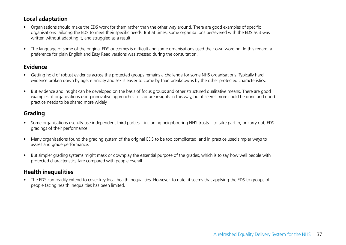### **Local adaptation**

- Organisations should make the EDS work for them rather than the other way around. There are good examples of specific organisations tailoring the EDS to meet their specific needs. But at times, some organisations persevered with the EDS as it was written without adapting it, and struggled as a result.
- The language of some of the original EDS outcomes is difficult and some organisations used their own wording. In this regard, a preference for plain English and Easy Read versions was stressed during the consultation.

### **Evidence**

- Getting hold of robust evidence across the protected groups remains a challenge for some NHS organisations. Typically hard evidence broken down by age, ethnicity and sex is easier to come by than breakdowns by the other protected characteristics.
- But evidence and insight can be developed on the basis of focus groups and other structured qualitative means. There are good examples of organisations using innovative approaches to capture insights in this way, but it seems more could be done and good practice needs to be shared more widely.

### **Grading**

- Some organisations usefully use independent third parties including neighbouring NHS trusts to take part in, or carry out, EDS gradings of their performance.
- Many organisations found the grading system of the original EDS to be too complicated, and in practice used simpler ways to assess and grade performance.
- But simpler grading systems might mask or downplay the essential purpose of the grades, which is to say how well people with protected characteristics fare compared with people overall.

### **Health inequalities**

• The EDS can readily extend to cover key local health inequalities. However, to date, it seems that applying the EDS to groups of people facing health inequalities has been limited.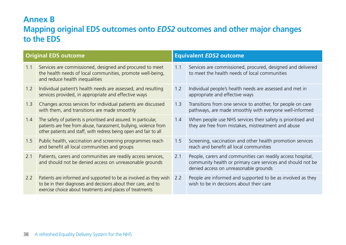### **Annex B**

### **Mapping original EDS outcomes onto** *EDS2* **outcomes and other major changes to the EDS**

| <b>Original EDS outcome</b> |                                                                                                                                                                                                             |     | <b>Equivalent EDS2 outcome</b>                                                                                                                                      |  |  |
|-----------------------------|-------------------------------------------------------------------------------------------------------------------------------------------------------------------------------------------------------------|-----|---------------------------------------------------------------------------------------------------------------------------------------------------------------------|--|--|
| 1.1                         | Services are commissioned, designed and procured to meet<br>the health needs of local communities, promote well-being,<br>and reduce health inequalities                                                    | 1.1 | Services are commissioned, procured, designed and delivered<br>to meet the health needs of local communities                                                        |  |  |
| 1.2                         | Individual patient's health needs are assessed, and resulting<br>services provided, in appropriate and effective ways                                                                                       | 1.2 | Individual people's health needs are assessed and met in<br>appropriate and effective ways                                                                          |  |  |
| 1.3                         | Changes across services for individual patients are discussed<br>with them, and transitions are made smoothly                                                                                               | 1.3 | Transitions from one service to another, for people on care<br>pathways, are made smoothly with everyone well-informed                                              |  |  |
| 1.4                         | The safety of patients is prioritised and assured. In particular,<br>patients are free from abuse, harassment, bullying, violence from<br>other patients and staff, with redress being open and fair to all | 1.4 | When people use NHS services their safety is prioritised and<br>they are free from mistakes, mistreatment and abuse                                                 |  |  |
| 1.5                         | Public health, vaccination and screening programmes reach<br>and benefit all local communities and groups                                                                                                   | 1.5 | Screening, vaccination and other health promotion services<br>reach and benefit all local communities                                                               |  |  |
| 2.1                         | Patients, carers and communities are readily access services,<br>and should not be denied access on unreasonable grounds                                                                                    | 2.1 | People, carers and communities can readily access hospital,<br>community health or primary care services and should not be<br>denied access on unreasonable grounds |  |  |
| 2.2                         | Patients are informed and supported to be as involved as they wish<br>to be in their diagnoses and decisions about their care, and to<br>exercise choice about treatments and places of treatments          | 2.2 | People are informed and supported to be as involved as they<br>wish to be in decisions about their care                                                             |  |  |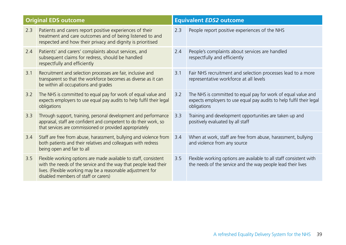|     | <b>Original EDS outcome</b>                                                                                                                                                                                                                 |     | <b>Equivalent EDS2 outcome</b>                                                                                                                       |
|-----|---------------------------------------------------------------------------------------------------------------------------------------------------------------------------------------------------------------------------------------------|-----|------------------------------------------------------------------------------------------------------------------------------------------------------|
| 2.3 | Patients and carers report positive experiences of their<br>treatment and care outcomes and of being listened to and<br>respected and how their privacy and dignity is prioritised                                                          | 2.3 | People report positive experiences of the NHS                                                                                                        |
| 2.4 | Patients' and carers' complaints about services, and<br>subsequent claims for redress, should be handled<br>respectfully and efficiently                                                                                                    | 2.4 | People's complaints about services are handled<br>respectfully and efficiently                                                                       |
| 3.1 | Recruitment and selection processes are fair, inclusive and<br>transparent so that the workforce becomes as diverse as it can<br>be within all occupations and grades                                                                       | 3.1 | Fair NHS recruitment and selection processes lead to a more<br>representative workforce at all levels                                                |
| 3.2 | The NHS is committed to equal pay for work of equal value and<br>expects employers to use equal pay audits to help fulfil their legal<br>obligations                                                                                        | 3.2 | The NHS is committed to equal pay for work of equal value and<br>expects employers to use equal pay audits to help fulfil their legal<br>obligations |
| 3.3 | Through support, training, personal development and performance<br>appraisal, staff are confident and competent to do their work, so<br>that services are commissioned or provided appropriately                                            | 3.3 | Training and development opportunities are taken up and<br>positively evaluated by all staff                                                         |
| 3.4 | Staff are free from abuse, harassment, bullying and violence from<br>both patients and their relatives and colleagues with redress<br>being open and fair to all                                                                            | 3.4 | When at work, staff are free from abuse, harassment, bullying<br>and violence from any source                                                        |
| 3.5 | Flexible working options are made available to staff, consistent<br>with the needs of the service and the way that people lead their<br>lives. (Flexible working may be a reasonable adjustment for<br>disabled members of staff or carers) | 3.5 | Flexible working options are available to all staff consistent with<br>the needs of the service and the way people lead their lives                  |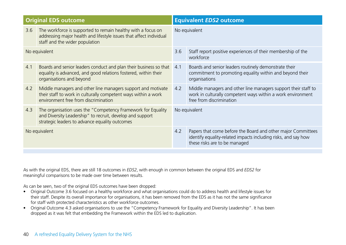| <b>Original EDS outcome</b> |                                                                                                                                                                             | <b>Equivalent EDS2 outcome</b> |                                                                                                                                                                 |
|-----------------------------|-----------------------------------------------------------------------------------------------------------------------------------------------------------------------------|--------------------------------|-----------------------------------------------------------------------------------------------------------------------------------------------------------------|
| 3.6                         | The workforce is supported to remain healthy with a focus on<br>addressing major health and lifestyle issues that affect individual<br>staff and the wider population       | No equivalent                  |                                                                                                                                                                 |
| No equivalent               |                                                                                                                                                                             | 3.6                            | Staff report positive experiences of their membership of the<br>workforce                                                                                       |
| 4.1                         | Boards and senior leaders conduct and plan their business so that<br>equality is advanced, and good relations fostered, within their<br>organisations and beyond            | 4.1                            | Boards and senior leaders routinely demonstrate their<br>commitment to promoting equality within and beyond their<br>organisations                              |
| 4.2                         | Middle managers and other line managers support and motivate<br>their staff to work in culturally competent ways within a work<br>environment free from discrimination      | 4.2                            | Middle managers and other line managers support their staff to<br>work in culturally competent ways within a work environment<br>free from discrimination       |
| 4.3                         | The organisation uses the "Competency Framework for Equality<br>and Diversity Leadership" to recruit, develop and support<br>strategic leaders to advance equality outcomes | No equivalent                  |                                                                                                                                                                 |
| No equivalent               |                                                                                                                                                                             | 4.2                            | Papers that come before the Board and other major Committees<br>identify equality-related impacts including risks, and say how<br>these risks are to be managed |

As with the original EDS, there are still 18 outcomes in *EDS2*, with enough in common between the original EDS and *EDS2* for meaningful comparisons to be made over time between results.

As can be seen, two of the original EDS outcomes have been dropped:

- Original Outcome 3.6 focused on a healthy workforce and what organisations could do to address health and lifestyle issues for their staff. Despite its overall importance for organisations, it has been removed from the EDS as it has not the same significance for staff with protected characteristics as other workforce outcomes.
- Original Outcome 4.3 asked organisations to use the "Competency Framework for Equality and Diversity Leadership". It has been dropped as it was felt that embedding the Framework within the EDS led to duplication.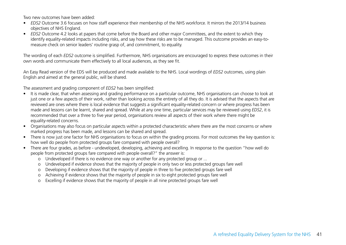Two new outcomes have been added:

- *• EDS2* Outcome 3.6 focuses on how staff experience their membership of the NHS workforce. It mirrors the 2013/14 business objectives of NHS England.
- *• EDS2* Outcome 4.2 looks at papers that come before the Board and other major Committees, and the extent to which they identify equality-related impacts including risks, and say how these risks are to be managed. This outcome provides an easy-tomeasure check on senior leaders' routine grasp of, and commitment, to equality.

The wording of each *EDS2* outcome is simplified. Furthermore, NHS organisations are encouraged to express these outcomes in their own words and communicate them effectively to all local audiences, as they see fit.

An Easy Read version of the EDS will be produced and made available to the NHS. Local wordings of *EDS2* outcomes, using plain English and aimed at the general public, will be shared.

The assessment and grading component of *EDS2* has been simplified:

- It is made clear, that when assessing and grading performance on a particular outcome, NHS organisations can choose to look at just one or a few aspects of their work, rather than looking across the entirety of all they do. It is advised that the aspects that are reviewed are ones where there is local evidence that suggests a significant equality-related concern or where progress has been made and lessons can be learnt, shared and spread. While at any one time, particular services may be reviewed using *EDS2*, it is recommended that over a three to five year period, organisations review all aspects of their work where there might be equality-related concerns.
- Organisations may also focus on particular aspects within a protected characteristic where there are the most concerns or where marked progress has been made, and lessons can be shared and spread.
- There is now just one factor for NHS organisations to focus on within the grading process. For most outcomes the key question is: how well do people from protected groups fare compared with people overall?
- There are four grades, as before undeveloped, developing, achieving and excelling. In response to the question "how well do people from protected groups fare compared with people overall?" the answer is:
	- o Undeveloped if there is no evidence one way or another for any protected group or ...
	- o Undeveloped if evidence shows that the majority of people in only two or less protected groups fare well
	- o Developing if evidence shows that the majority of people in three to five protected groups fare well
	- o Achieving if evidence shows that the majority of people in six to eight protected groups fare well
	- o Excelling if evidence shows that the majority of people in all nine protected groups fare well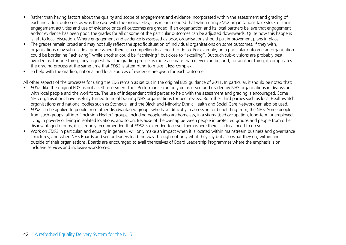- Rather than having factors about the quality and scope of engagement and evidence incorporated within the assessment and grading of each individual outcome, as was the case with the original EDS, it is recommended that when using *EDS2* organisations take stock of their engagement activities and use of evidence once all outcomes are graded. If an organisation and its local partners believe that engagement and/or evidence has been poor, the grades for all or some of the particular outcomes can be adjusted downwards. Quite how this happens is left to local discretion. Where engagement and evidence is assessed as poor, organisations should put improvement plans in place.
- The grades remain broad and may not fully reflect the specific situation of individual organisations on some outcomes. If they wish, organisations may sub-divide a grade where there is a compelling local need to do so. For example, on a particular outcome an organisation could be borderline "achieving" while another could be "achieving" but close to "excelling". But such sub-divisions are probably best avoided as, for one thing, they suggest that the grading process is more accurate than it ever can be; and, for another thing, it complicates the grading process at the same time that *EDS2* is attempting to make it less complex.
- To help with the grading, national and local sources of evidence are given for each outcome.

All other aspects of the processes for using the EDS remain as set out in the original EDS guidance of 2011. In particular, it should be noted that:

- *• EDS2*, like the original EDS, is not a self-assessment tool. Performance can only be assessed and graded by NHS organisations in discussion with local people and the workforce. The use of independent third parties to help with the assessment and grading is encouraged. Some NHS organisations have usefully turned to neighbouring NHS organisations for peer review. But other third parties such as local Healthwatch organisations and national bodies such as Stonewall and the Black and Minority Ethnic Health and Social Care Network can also be used.
- *• EDS2* can be applied to people from other disadvantaged groups who have difficulty in accessing, or benefitting from, the NHS. Some people from such groups fall into "Inclusion Health" groups, including people who are homeless, in a stigmatised occupation, long-term unemployed, living in poverty or living in isolated locations, and so on. Because of the overlap between people in protected groups and people from other disadvantaged groups, it is strongly recommended that *EDS2* is extended to cover them where there is a local need to do so.
- Work on *EDS2* in particular, and equality in general, will only make an impact when it is located within mainstream business and governance structures, and when NHS Boards and senior leaders lead the way through not only what they say but also what they do, within and outside of their organisations. Boards are encouraged to avail themselves of Board Leadership Programmes where the emphasis is on inclusive services and inclusive workforces.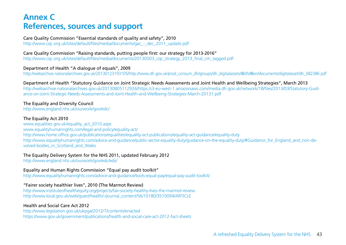### **Annex C References, sources and support**

Care Quality Commission "Essential standards of quality and safety", 2010 http://www.cqc.org.uk/sites/default/files/media/documents/gac - dec\_2011\_update.pdf

#### Care Quality Commission "Raising standards, putting people first: our strategy for 2013-2016"

http://www.cqc.org.uk/sites/default/files/media/documents/20130503\_cqc\_strategy\_2013\_final\_cm\_tagged.pdf

#### Department of Health "A dialogue of equals", 2009

http://webarchive.nationalarchives.gov.uk/20130123193105/http://www.dh.gov.uk/prod\_consum\_dh/groups/dh\_digitalassets/@dh/@en/documents/digitalasset/dh\_082386.pdf

Department of Health "Statutory Guidance on Joint Strategic Needs Assessments and Joint Health and Wellbeing Strategies", March 2013 http://webarchive.nationalarchives.gov.uk/20130805112926/https:/s3-eu-west-1.amazonaws.com/media.dh.gov.uk/network/18/files/2013/03/Statutory-Guidance-on-Joint-Strategic-Needs-Assessments-and-Joint-Health-and-Wellbeing-Strategies-March-20131.pdf

#### The Equality and Diversity Council

http://www.england.nhs.uk/ourwork/gov/edc/

#### The Equality Act 2010

www.equalities.gov.uk/equality\_act\_2010.aspx www.equalityhumanrights.com/legal-and-policy/equality-act/ http://www.home.office.gov.uk/publications/equalities/equality-act-publications/equality-act-guidance/equality-duty http://www.equalityhumanrights.com/advice-and-guidance/public-sector-equality-duty/guidance-on-the-equality-duty/#Guidance\_for\_England\_and\_non-devolved-bodies\_in\_Scotland\_and\_Wales

#### The Equality Delivery System for the NHS 2011, updated February 2012

http://www.england.nhs.uk/ourwork/gov/edc/eds/

#### Equality and Human Rights Commission "Equal pay audit toolkit"

http://www.equalityhumanrights.com/advice-and-guidance/tools-equal-pay/equal-pay-audit-toolkit/

#### "Fairer society healthier lives", 2010 (The Marmot Review)

http://www.instituteofhealthequity.org/projects/fair-society-healthy-lives-the-marmot-review http://www.local.gov.uk/web/guest/health/-/journal\_content/56/10180/3510094/ARTICLE

#### Health and Social Care Act 2012

http://www.legislation.gov.uk/ukpga/2012/7/contents/enacted https://www.gov.uk/government/publications/health-and-social-care-act-2012-fact-sheets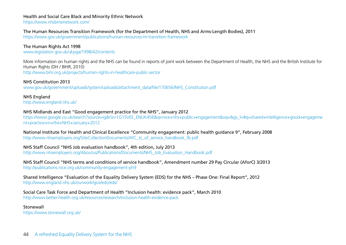#### Health and Social Care Black and Minority Ethnic Network

https://www.nhsbmenetwork.com/

#### The Human Resources Transition Framework (for the Department of Health, NHS and Arms-Length Bodies), 2011

https://www.gov.uk/government/publications/human-resources-hr-transition-framework

The Human Rights Act 1998 www.legislation.gov.uk/ukpga/1998/42/contents

More information on human rights and the NHS can be found in reports of joint work between the Department of Health, the NHS and the British Institute for Human Rights (DH / BIHR, 2010) http://www.bihr.org.uk/projects/human-rights-in-healthcare-public-sector

NHS Constitution 2013 www.gov.uk/government/uploads/system/uploads/attachment\_data/file/170656/NHS\_Constitution.pdf

NHS England http://www.england.nhs.uk/

#### NHS Midlands and East "Good engagement practice for the NHS", January 2012

https://www.google.co.uk/search?source=ig&rlz=1G1SVEE\_ENUK456&q=nice+nhs+public+engagement&oq=&gs\_l=#q=shared+intelligence+good+engageme nt+practice+in+the+NHS+January+2012

National Institute for Health and Clinical Excellence "Community engagement: public health guidance 9", February 2008 http://www.nhsemployers.org/SiteCollectionDocuments/AfC\_tc\_of\_service\_handbook\_fb.pdf

#### NHS Staff Council "NHS Job evaluation handbook", 4th edition, July 2013

http://www.nhsemployers.org/Aboutus/Publications/Documents/NHS\_Job\_Evaluation\_Handbook.pdf

#### NHS Staff Council "NHS terms and conditions of service handbook", Amendment number 29 Pay Circular (AforC) 3/2013 http://publications.nice.org.uk/community-engagement-ph9

Shared Intelligence "Evaluation of the Equality Delivery System (EDS) for the NHS – Phase One: Final Report", 2012 http://www.england.nhs.uk/ourwork/gov/edc/eds/

Social Care Task Force and Department of Health "Inclusion health: evidence pack", March 2010 http://www.better-health.org.uk/resources/research/inclusion-health-evidence-pack

Stonewall

https://www.stonewall.org.uk/